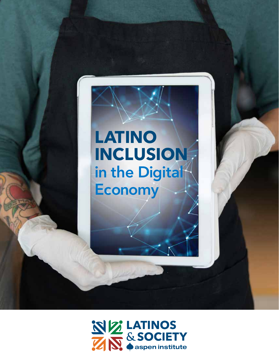

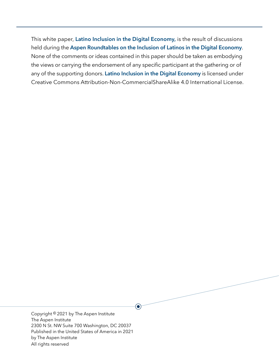This white paper, **Latino Inclusion in the Digital Economy,** is the result of discussions held during the **Aspen Roundtables on the Inclusion of Latinos in the Digital Economy**. None of the comments or ideas contained in this paper should be taken as embodying the views or carrying the endorsement of any specific participant at the gathering or of any of the supporting donors. **Latino Inclusion in the Digital Economy** is licensed under Creative Commons Attribution-Non-CommercialShareAlike 4.0 International License.

 $\textcolor{blue}{\bullet}$ 

Copyright © 2021 by The Aspen Institute The Aspen Institute 2300 N St. NW Suite 700 Washington, DC 20037 Published in the United States of America in 2021 by The Aspen Institute All rights reserved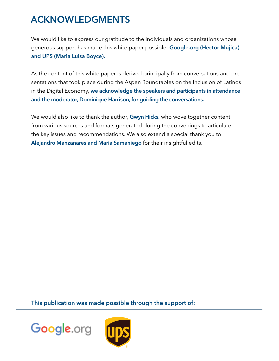## **ACKNOWLEDGMENTS**

We would like to express our gratitude to the individuals and organizations whose generous support has made this white paper possible: **Google.org (Hector Mujica) and UPS (Maria Luisa Boyce).**

As the content of this white paper is derived principally from conversations and presentations that took place during the Aspen Roundtables on the Inclusion of Latinos in the Digital Economy, **we acknowledge the speakers and participants in attendance and the moderator, Dominique Harrison, for guiding the conversations.** 

We would also like to thank the author, **Gwyn Hicks,** who wove together content from various sources and formats generated during the convenings to articulate the key issues and recommendations. We also extend a special thank you to **Alejandro Manzanares and Maria Samaniego** for their insightful edits.

**This publication was made possible through the support of:**



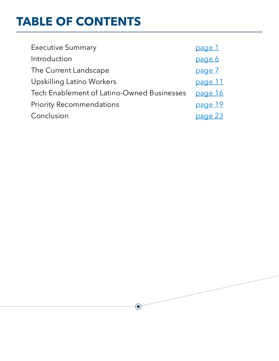# **TABLE OF CONTENTS**

| <b>Executive Summary</b>                   | page 1  |
|--------------------------------------------|---------|
| Introduction                               | page 6  |
| The Current Landscape                      | page 7  |
| <b>Upskilling Latino Workers</b>           | page 11 |
| Tech Enablement of Latino-Owned Businesses | page 16 |
| <b>Priority Recommendations</b>            | page 19 |
| Conclusion                                 | page 23 |

 $\odot$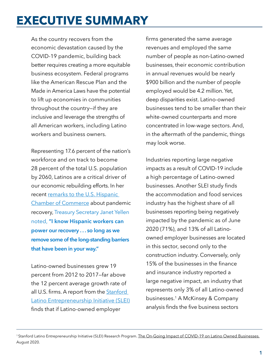# <span id="page-4-0"></span>**EXECUTIVE SUMMARY**

As the country recovers from the economic devastation caused by the COVID-19 pandemic, building back better requires creating a more equitable business ecosystem. Federal programs like the American Rescue Plan and the Made in America Laws have the potential to lift up economies in communities throughout the country—if they are inclusive and leverage the strengths of all American workers, including Latino workers and business owners.

Representing 17.6 percent of the nation's workforce and on track to become 28 percent of the total U.S. population by 2060, Latinos are a critical driver of our economic rebuilding efforts. In her recent [remarks to the U.S. Hispanic](https://home.treasury.gov/news/press-releases/jy0089)  [Chamber of Commerce](https://home.treasury.gov/news/press-releases/jy0089) about pandemic recovery, Treasury Secretary Janet Yellen noted, **"I know Hispanic workers can power our recovery . . . so long as we remove some of the long-standing barriers that have been in your way."**

Latino-owned businesses grew 19 percent from 2012 to 2017—far above the 12 percent average growth rate of all U.S. firms. A report from the **[Stanford](https://www.gsb.stanford.edu/sites/gsb/files/publication-pdf/report-slei-state-latino-entrepreneurship-2019.pdf)** [Latino Entrepreneurship Initiative](https://www.gsb.stanford.edu/sites/gsb/files/publication-pdf/report-slei-state-latino-entrepreneurship-2019.pdf) (SLEI) finds that if Latino-owned employer

firms generated the same average revenues and employed the same number of people as non-Latino-owned businesses, their economic contribution in annual revenues would be nearly \$900 billion and the number of people employed would be 4.2 million. Yet, deep disparities exist. Latino-owned businesses tend to be smaller than their white-owned counterparts and more concentrated in low-wage sectors. And, in the aftermath of the pandemic, things may look worse.

Industries reporting large negative impacts as a result of COVID-19 include a high percentage of Latino-owned businesses. Another SLEI study finds the accommodation and food services industry has the highest share of all businesses reporting being negatively impacted by the pandemic as of June 2020 (71%), and 13% of all Latinoowned employer businesses are located in this sector, second only to the construction industry. Conversely, only 15% of the businesses in the finance and insurance industry reported a large negative impact, an industry that represents only 3% of all Latino-owned businesses.1 A McKinsey & Company analysis finds the five business sectors

<sup>&</sup>lt;sup>1</sup> Stanford Latino Entrepreneurship Initiative (SLEI) Research Program. [The On-Going Impact of COVID-19 on Latino Owned Businesses.](https://www.gsb.stanford.edu/faculty-research/publications/ongoing-impact-covid-19-latino-owned-businesses?pid=) August 2020.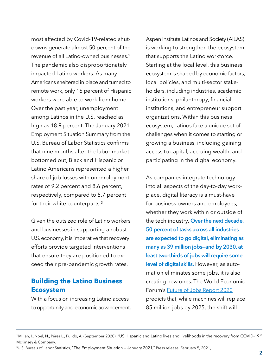most affected by Covid-19-related shutdowns generate almost 50 percent of the revenue of all Latino-owned businesses.2 The pandemic also disproportionately impacted Latino workers. As many Americans sheltered in place and turned to remote work, only 16 percent of Hispanic workers were able to work from home. Over the past year, unemployment among Latinos in the U.S. reached as high as 18.9 percent. The January 2021 Employment Situation Summary from the U.S. Bureau of Labor Statistics confirms that nine months after the labor market bottomed out, Black and Hispanic or Latino Americans represented a higher share of job losses with unemployment rates of 9.2 percent and 8.6 percent, respectively, compared to 5.7 percent for their white counterparts.3

Given the outsized role of Latino workers and businesses in supporting a robust U.S. economy, it is imperative that recovery efforts provide targeted interventions that ensure they are positioned to exceed their pre-pandemic growth rates.

#### **Building the Latino Business Ecosystem**

With a focus on increasing Latino access to opportunity and economic advancement, Aspen Institute Latinos and Society (AILAS) is working to strengthen the ecosystem that supports the Latino workforce. Starting at the local level, this business ecosystem is shaped by economic factors, local policies, and multi-sector stakeholders, including industries, academic institutions, philanthropy, financial institutions, and entrepreneur support organizations. Within this business ecosystem, Latinos face a unique set of challenges when it comes to starting or growing a business, including gaining access to capital, accruing wealth, and participating in the digital economy.

As companies integrate technology into all aspects of the day-to-day workplace, digital literacy is a must-have for business owners and employees, whether they work within or outside of the tech industry. **Over the next decade, 50 percent of tasks across all industries are expected to go digital, eliminating as many as 39 million jobs—and by 2030, at least two-thirds of jobs will require some level of digital skills.** However, as automation eliminates some jobs, it is also creating new ones. The World Economic Forum's [Future of Jobs Report 2020](https://www.weforum.org/reports/the-future-of-jobs-report-2020) predicts that, while machines will replace 85 million jobs by 2025, the shift will

<sup>&</sup>lt;sup>2</sup> Millán, I., Noel, N., Pérez L., Pulido, A. (September 2020). "US Hispanic and Latino lives and livelihoods in the recovery from COVID-19." McKinsey & Company.

<sup>&</sup>lt;sup>3</sup>U.S. Bureau of Labor Statistics, "The Employment Situation - January 2021," Press release, February 5, 2021,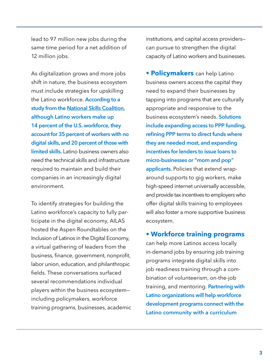lead to 97 million new jobs during the same time period for a net addition of 12 million jobs.

As digitalization grows and more jobs shift in nature, the business ecosystem must include strategies for upskilling the Latino workforce. **According to a study from the [National Skills Coalition](https://www.nationalskillscoalition.org/resource/publications/applying-a-racial-equity-lens-to-digital-literacy/), although Latino workers make up 14 percent of the U.S. workforce, they account for 35 percent of workers with no digital skills, and 20 percent of those with limited skills.** Latino business owners also need the technical skills and infrastructure required to maintain and build their companies in an increasingly digital environment.

To identify strategies for building the Latino workforce's capacity to fully participate in the digital economy, AILAS hosted the Aspen Roundtables on the Inclusion of Latinos in the Digital Economy, a virtual gathering of leaders from the business, finance, government, nonprofit, labor union, education, and philanthropic fields. These conversations surfaced several recommendations individual players within the business ecosystem including policymakers, workforce training programs, businesses, academic institutions, and capital access providers can pursue to strengthen the digital capacity of Latino workers and businesses.

**• Policymakers** can help Latino business owners access the capital they need to expand their businesses by tapping into programs that are culturally appropriate and responsive to the business ecosystem's needs. **Solutions include expanding access to PPP funding, refining PPP terms to direct funds where they are needed most, and expanding incentives for lenders to issue loans to micro-businesses or "mom and pop" applicants.** Policies that extend wraparound supports to gig workers, make high-speed internet universally accessible, and provide tax incentives to employers who offer digital skills training to employees will also foster a more supportive business ecosystem.

#### **• Workforce training programs**

can help more Latinos access locally in-demand jobs by ensuring job training programs integrate digital skills into job readiness training through a combination of volunteerism, on-the-job training, and mentoring. **Partnering with Latino organizations will help workforce development programs connect with the Latino community with a curriculum**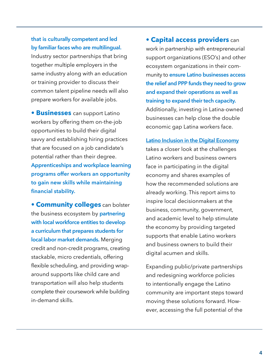#### **that is culturally competent and led by familiar faces who are multilingual.**

Industry sector partnerships that bring together multiple employers in the same industry along with an education or training provider to discuss their common talent pipeline needs will also prepare workers for available jobs.

**• Businesses** can support Latino workers by offering them on-the-job opportunities to build their digital savvy and establishing hiring practices that are focused on a job candidate's potential rather than their degree. **Apprenticeships and workplace learning programs offer workers an opportunity to gain new skills while maintaining financial stability.**

**• Community colleges** can bolster the business ecosystem by **partnering with local workforce entities to develop a curriculum that prepares students for local labor market demands.** Merging credit and non-credit programs, creating stackable, micro credentials, offering flexible scheduling, and providing wraparound supports like child care and transportation will also help students complete their coursework while building in-demand skills.

**• Capital access providers** can work in partnership with entrepreneurial support organizations (ESO's) and other ecosystem organizations in their community to **ensure Latino businesses access the relief and PPP funds they need to grow and expand their operations as well as training to expand their tech capacity.**  Additionally, investing in Latina-owned businesses can help close the double economic gap Latina workers face.

**Latino Inclusion in the Digital Economy** takes a closer look at the challenges Latino workers and business owners face in participating in the digital economy and shares examples of how the recommended solutions are already working. This report aims to inspire local decisionmakers at the business, community, government, and academic level to help stimulate the economy by providing targeted supports that enable Latino workers and business owners to build their digital acumen and skills.

Expanding public/private partnerships and redesigning workforce policies to intentionally engage the Latino community are important steps toward moving these solutions forward. However, accessing the full potential of the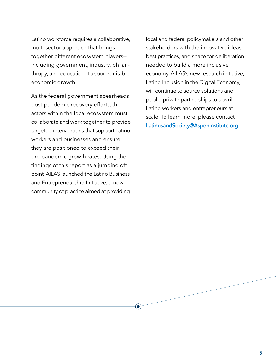Latino workforce requires a collaborative, multi-sector approach that brings together different ecosystem players including government, industry, philanthropy, and education—to spur equitable economic growth.

As the federal government spearheads post-pandemic recovery efforts, the actors within the local ecosystem must collaborate and work together to provide targeted interventions that support Latino workers and businesses and ensure they are positioned to exceed their pre-pandemic growth rates. Using the findings of this report as a jumping off point, AILAS launched the Latino Business and Entrepreneurship Initiative, a new community of practice aimed at providing

 $\left( \bullet \right)$ 

local and federal policymakers and other stakeholders with the innovative ideas, best practices, and space for deliberation needed to build a more inclusive economy. AILAS's new research initiative, Latino Inclusion in the Digital Economy, will continue to source solutions and public-private partnerships to upskill Latino workers and entrepreneurs at scale. To learn more, please contact **[LatinosandSociety@AspenInstitute.org](mailto:LatinosandSociety%40AspenInstitute.org?subject=)**.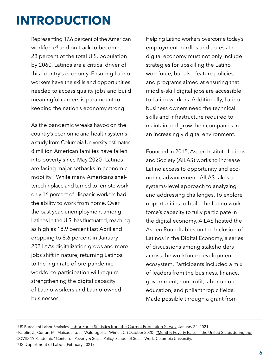## <span id="page-9-0"></span>**INTRODUCTION**

Representing 17.6 percent of the American workforce<sup>4</sup> and on track to become 28 percent of the total U.S. population by 2060, Latinos are a critical driver of this country's economy. Ensuring Latino workers have the skills and opportunities needed to access quality jobs and build meaningful careers is paramount to keeping the nation's economy strong.

As the pandemic wreaks havoc on the country's economic and health systems a study from Columbia University estimates 8 million American families have fallen into poverty since May 2020—Latinos are facing major setbacks in economic mobility.5 While many Americans sheltered in place and turned to remote work, only 16 percent of Hispanic workers had the ability to work from home. Over the past year, unemployment among Latinos in the U.S. has fluctuated, reaching as high as 18.9 percent last April and dropping to 8.6 percent in January 2021.6 As digitalization grows and more jobs shift in nature, returning Latinos to the high rate of pre-pandemic workforce participation will require strengthening the digital capacity of Latino workers and Latino-owned businesses.

Helping Latino workers overcome today's employment hurdles and access the digital economy must not only include strategies for upskilling the Latino workforce, but also feature policies and programs aimed at ensuring that middle-skill digital jobs are accessible to Latino workers. Additionally, Latino business owners need the technical skills and infrastructure required to maintain and grow their companies in an increasingly digital environment.

Founded in 2015, Aspen Institute Latinos and Society (AILAS) works to increase Latino access to opportunity and economic advancement. AILAS takes a systems-level approach to analyzing and addressing challenges. To explore opportunities to build the Latino workforce's capacity to fully participate in the digital economy, AILAS hosted the Aspen Roundtables on the Inclusion of Latinos in the Digital Economy, a series of discussions among stakeholders across the workforce development ecosystem. Participants included a mix of leaders from the business, finance, government, nonprofit, labor union, education, and philanthropic fields. Made possible through a grant from

<sup>6</sup> [US Department of Labor.](https://beta.bls.gov/dataViewer/view/timeseries/LNS14000009) (February 2021).

<sup>4</sup> US Bureau of Labor Statistics, [Labor Force Statistics from the Current Population Survey,](https://www.bls.gov/cps/cpsaat18.htm) January 22, 2021.

<sup>&</sup>lt;sup>5</sup> Parolin, Z., Curran, M., Matsudaira, J., Waldfogel, J., Wimer, C. (October 2020). "Monthly Poverty Rates in the United States during the [COVID-19 Pandemic."](https://www.tc.columbia.edu/articles/2020/october/study-finds-eight-million-more-people-in-the-us-are-living-in-poverty/) Center on Poverty & Social Policy, School of Social Work, Columbia University.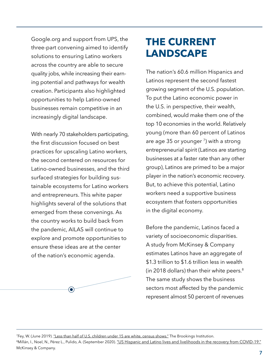<span id="page-10-0"></span>Google.org and support from UPS, the three-part convening aimed to identify solutions to ensuring Latino workers across the country are able to secure quality jobs, while increasing their earning potential and pathways for wealth creation. Participants also highlighted opportunities to help Latino-owned businesses remain competitive in an increasingly digital landscape.

With nearly 70 stakeholders participating, the first discussion focused on best practices for upscaling Latino workers, the second centered on resources for Latino-owned businesses, and the third surfaced strategies for building sustainable ecosystems for Latino workers and entrepreneurs. This white paper highlights several of the solutions that emerged from these convenings. As the country works to build back from the pandemic, AILAS will continue to explore and promote opportunities to ensure these ideas are at the center of the nation's economic agenda.



## **THE CURRENT LANDSCAPE**

The nation's 60.6 million Hispanics and Latinos represent the second fastest growing segment of the U.S. population. To put the Latino economic power in the U.S. in perspective, their wealth, combined, would make them one of the top 10 economies in the world. Relatively young (more than 60 percent of Latinos are age 35 or younger  $\frac{7}{1}$  with a strong entrepreneurial spirit (Latinos are starting businesses at a faster rate than any other group), Latinos are primed to be a major player in the nation's economic recovery. But, to achieve this potential, Latino workers need a supportive business ecosystem that fosters opportunities in the digital economy.

Before the pandemic, Latinos faced a variety of socioeconomic disparities. A study from McKinsey & Company estimates Latinos have an aggregate of \$1.3 trillion to \$1.6 trillion less in wealth (in 2018 dollars) than their white peers. $8$ The same study shows the business sectors most affected by the pandemic represent almost 50 percent of revenues

<sup>7</sup>Fey, W. (June 2019). ["Less than half of U.S. children under 15 are white, census shows."](https://www.brookings.edu/research/less-than-half-of-us-children-under-15-are-white-census-shows/) The Brookings Institution.

<sup>8</sup>Millán, I., Noel, N., Pérez L., Pulido, A. (September 2020). ["US Hispanic and Latino lives and livelihoods in the recovery from COVID-19."](https://www.mckinsey.com/industries/public-and-social-sector/our-insights/us-hispanic-and-latino-lives-and-livelihoods-in-the-recovery-from-covid-19) McKinsey & Company.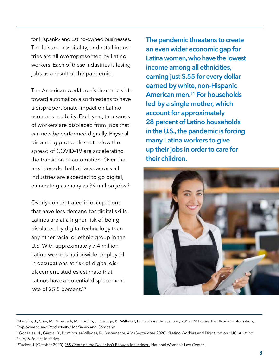for Hispanic- and Latino-owned businesses. The leisure, hospitality, and retail industries are all overrepresented by Latino workers. Each of these industries is losing jobs as a result of the pandemic.

The American workforce's dramatic shift toward automation also threatens to have a disproportionate impact on Latino economic mobility. Each year, thousands of workers are displaced from jobs that can now be performed digitally. Physical distancing protocols set to slow the spread of COVID-19 are accelerating the transition to automation. Over the next decade, half of tasks across all industries are expected to go digital, eliminating as many as 39 million jobs.<sup>9</sup>

Overly concentrated in occupations that have less demand for digital skills, Latinos are at a higher risk of being displaced by digital technology than any other racial or ethnic group in the U.S. With approximately 7.4 million Latino workers nationwide employed in occupations at risk of digital displacement, studies estimate that Latinos have a potential displacement rate of 25.5 percent.<sup>10</sup>

**The pandemic threatens to create an even wider economic gap for Latina women, who have the lowest income among all ethnicities, earning just \$.55 for every dollar earned by white, non-Hispanic American men.11 For households led by a single mother, which account for approximately 28 percent of Latino households in the U.S., the pandemic is forcing many Latina workers to give up their jobs in order to care for their children.**



<sup>&</sup>lt;sup>9</sup>Manyika, J., Chui, M., Miremadi, M., Bughin, J., George, K., Willmott, P., Dewhurst, M. (January 2017). "A Future That Works: Automation, [Employment, and Productivity."](https://www.mckinsey.com/~/media/mckinsey/featured%20insights/Digital%20Disruption/Harnessing%20automation%20for%20a%20future%20that%20works/MGI-A-future-that-works-Executive-summary.ashx) McKinsey and Company.

<sup>&</sup>lt;sup>10</sup>Gonzalez, N., Garcia, D., Dominguez-Villegas, R., Bustamante, A.V. (September 2020). ["Latino Workers and Digitalization."](https://latino.ucla.edu/wp-content/uploads/2020/09/Digital-Upskilling-Report.pdf) UCLA Latino Policy & Politics Initiative.

<sup>&</sup>lt;sup>11</sup>Tucker, J. (October 2020). ["55 Cents on the Dollar Isn't Enough for Latinas."](https://nwlc.org/wp-content/uploads/2019/11/Latina-EPD-2020.pdf) National Women's Law Center.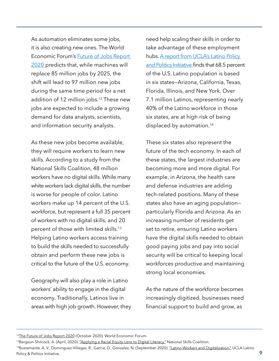As automation eliminates some jobs, it is also creating new ones. The World Economic Forum's [Future of Jobs Report](https://www.weforum.org/reports/the-future-of-jobs-report-2020/digest) [2020](https://www.weforum.org/reports/the-future-of-jobs-report-2020/digest) predicts that, while machines will replace 85 million jobs by 2025, the shift will lead to 97 million new jobs during the same time period for a net addition of 12 million jobs.<sup>12</sup> These new jobs are expected to include a growing demand for data analysts, scientists, and information security analysts.

As these new jobs become available, they will require workers to learn new skills. According to a study from the National Skills Coalition, 48 million workers have no digital skills. While many white workers lack digital skills, the number is worse for people of color. Latino workers make up 14 percent of the U.S. workforce, but represent a full 35 percent of workers with no digital skills, and 20 percent of those with limited skills.13 Helping Latino workers access training to build the skills needed to successfully obtain and perform these new jobs is critical to the future of the U.S. economy.

Geography will also play a role in Latino workers' ability to engage in the digital economy. Traditionally, Latinos live in areas with high job growth. However, they need help scaling their skills in order to take advantage of these employment hubs. A report from UCLA's Latino Policy [and Politics Initiative](https://latino.ucla.edu/research/latino-workers-and-digitalization/) finds that 68.5 percent of the U.S. Latino population is based in six states—Arizona, California, Texas, Florida, Illinois, and New York. Over 7.1 million Latinos, representing nearly 40% of the Latino workforce in those six states, are at high risk of being displaced by automation.<sup>14</sup>

These six states also represent the future of the tech economy. In each of these states, the largest industries are becoming more and more digital. For example, in Arizona, the health care and defense industries are adding tech-related positions. Many of these states also have an aging population particularly Florida and Arizona. As an increasing number of residents get set to retire, ensuring Latino workers have the digital skills needed to obtain good paying jobs and pay into social security will be critical to keeping local workforces productive and maintaining strong local economies.

As the nature of the workforce becomes increasingly digitized, businesses need financial support to build and grow, as

<sup>&</sup>lt;sup>12</sup>[The Future of Jobs Report 2020](https://www.weforum.org/reports/the-future-of-jobs-report-2020) (October 2020). World Economic Forum.

<sup>&</sup>lt;sup>13</sup>Bergson-Shilcock, A. (April, 2020). ["Applying a Racial Equity Lens to Digital Literacy."](https://www.nationalskillscoalition.org/resource/publications/applying-a-racial-equity-lens-to-digital-literacy/) National Skills Coalition.

<sup>&</sup>lt;sup>14</sup>Bustamante, A. V., Dominguez-Villegas, R., Garcia, D., Gonzalez, N. (September 2020). <u>"Latino Workers and Digitalization."</u> UCLA Latino Policy & Politics Initiative. **9**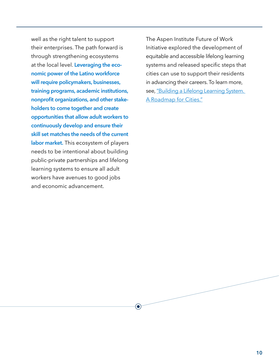well as the right talent to support their enterprises. The path forward is through strengthening ecosystems at the local level. **Leveraging the economic power of the Latino workforce will require policymakers, businesses, training programs, academic institutions, nonprofit organizations, and other stakeholders to come together and create opportunities that allow adult workers to continuously develop and ensure their skill set matches the needs of the current labor market.** This ecosystem of players needs to be intentional about building public-private partnerships and lifelong learning systems to ensure all adult workers have avenues to good jobs and economic advancement.

 $\left( \bullet \right)$ 

The Aspen Institute Future of Work Initiative explored the development of equitable and accessible lifelong learning systems and released specific steps that cities can use to support their residents in advancing their careers. To learn more, see, "Building a Lifelong Learning System. [A Roadmap for Cities."](https://www.aspeninstitute.org/publications/building-a-lifelong-learning-system/)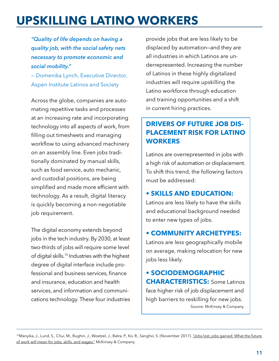## <span id="page-14-0"></span>**UPSKILLING LATINO WORKERS**

*"Quality of life depends on having a quality job, with the social safety nets necessary to promote economic and social mobility."*

— Domenika Lynch, Executive Director, Aspen Institute Latinos and Society

Across the globe, companies are automating repetitive tasks and processes at an increasing rate and incorporating technology into all aspects of work, from filling out timesheets and managing workflow to using advanced machinery on an assembly line. Even jobs traditionally dominated by manual skills, such as food service, auto mechanic, and custodial positions, are being simplified and made more efficient with technology. As a result, digital literacy is quickly becoming a non-negotiable job requirement.

The digital economy extends beyond jobs in the tech industry. By 2030, at least two-thirds of jobs will require some level of digital skills.15 Industries with the highest degree of digital interface include professional and business services, finance and insurance, education and health services, and information and communications technology. These four industries provide jobs that are less likely to be displaced by automation—and they are all industries in which Latinos are underrepresented. Increasing the number of Latinos in these highly digitalized industries will require upskilling the Latino workforce through education and training opportunities and a shift in current hiring practices.

### **DRIVERS OF FUTURE JOB DIS-PLACEMENT RISK FOR LATINO WORKERS**

Latinos are overrepresented in jobs with a high risk of automation or displacement. To shift this trend, the following factors must be addressed:

#### **• SKILLS AND EDUCATION:**

Latinos are less likely to have the skills and educational background needed to enter new types of jobs.

#### **• COMMUNITY ARCHETYPES:**

Latinos are less geographically mobile on average, making relocation for new jobs less likely.

**• SOCIODEMOGRAPHIC CHARACTERISTICS:** Some Latinos face higher risk of job displacement and high barriers to reskilling for new jobs. Source: McKinsey & Company

<sup>15</sup>Manyika, J., Lund, S., Chui, M., Bughin, J., Woetzel, J., Batra, P., Ko, R., Sanghvi, S. (November 2017). <u>"Jobs lost, jobs gained: What the future</u> [of work will mean for jobs, skills, and wages."](https://www.mckinsey.com/featured-insights/future-of-work/jobs-lost-jobs-gained-what-the-future-of-work-will-mean-for-jobs-skills-and-wages) McKinsey & Company.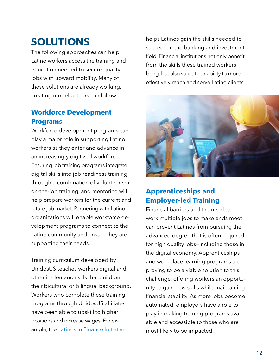## **SOLUTIONS**

The following approaches can help Latino workers access the training and education needed to secure quality jobs with upward mobility. Many of these solutions are already working, creating models others can follow.

## **Workforce Development Programs**

Workforce development programs can play a major role in supporting Latino workers as they enter and advance in an increasingly digitized workforce. Ensuring job training programs integrate digital skills into job readiness training through a combination of volunteerism, on-the-job training, and mentoring will help prepare workers for the current and future job market. Partnering with Latino organizations will enable workforce development programs to connect to the Latino community and ensure they are supporting their needs.

Training curriculum developed by UnidosUS teaches workers digital and other in-demand skills that build on their bicultural or bilingual background. Workers who complete these training programs through UnidosUS affiliates have been able to upskill to higher positions and increase wages. For ex-ample, the [Latinos in Finance Initiative](http://publications.unidosus.org/handle/123456789/1867)

helps Latinos gain the skills needed to succeed in the banking and investment field. Financial institutions not only benefit from the skills these trained workers bring, but also value their ability to more effectively reach and serve Latino clients.



## **Apprenticeships and Employer-led Training**

Financial barriers and the need to work multiple jobs to make ends meet can prevent Latinos from pursuing the advanced degree that is often required for high quality jobs—including those in the digital economy. Apprenticeships and workplace learning programs are proving to be a viable solution to this challenge, offering workers an opportunity to gain new skills while maintaining financial stability. As more jobs become automated, employers have a role to play in making training programs available and accessible to those who are most likely to be impacted.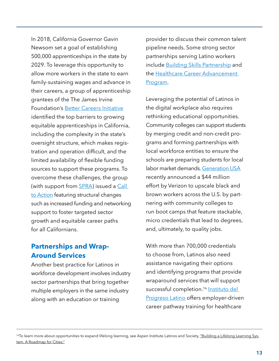In 2018, California Governor Gavin Newsom set a goal of establishing 500,000 apprenticeships in the state by 2029. To leverage this opportunity to allow more workers in the state to earn family-sustaining wages and advance in their careers, a group of apprenticeship grantees of the The James Irvine Foundation's [Better Careers Initiative](https://www.irvine.org/our-focus/better-careers/) identified the top barriers to growing equitable apprenticeships in California, including the complexity in the state's oversight structure, which makes registration and operation difficult, and the limited availability of flexible funding sources to support these programs. To overcome these challenges, the group (with support from **SPRA**) issued a Call to **Action** featuring structural changes such as increased funding and networking support to foster targeted sector growth and equitable career paths for all Californians.

#### **Partnerships and Wrap-Around Services**

Another best practice for Latinos in workforce development involves industry sector partnerships that bring together multiple employers in the same industry along with an education or training

provider to discuss their common talent pipeline needs. Some strong sector partnerships serving Latino workers include **Building Skills Partnership** and the [Healthcare Career Advancement](http://www.h-cap.org/about/)  [Program](http://www.h-cap.org/about/).

Leveraging the potential of Latinos in the digital workplace also requires rethinking educational opportunities. Community colleges can support students by merging credit and non-credit programs and forming partnerships with local workforce entities to ensure the schools are preparing students for local labor market demands. [Generation USA](https://usa.generation.org) recently announced a \$44 million effort by Verizon to upscale black and brown workers across the U.S. by partnering with community colleges to run boot camps that feature stackable, micro credentials that lead to degrees, and, ultimately, to quality jobs.

With more than 700,000 credentials to choose from, Latinos also need assistance navigating their options and identifying programs that provide wraparound services that will support successful completion.<sup>16</sup> Instituto del **[Progreso Latino](https://www.institutochicago.org) offers employer-driven** career pathway training for healthcare

<sup>&</sup>lt;sup>16</sup>To learn more about opportunities to expand lifelong learning, see Aspen Institute Latinos and Society, ["Building a Lifelong Learning Sys](https://www.aspeninstitute.org/publications/building-a-lifelong-learning-system/)[tem. A Roadmap for Cities."](https://www.aspeninstitute.org/publications/building-a-lifelong-learning-system/)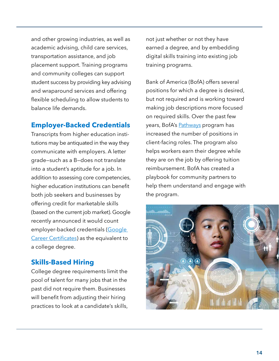and other growing industries, as well as academic advising, child care services, transportation assistance, and job placement support. Training programs and community colleges can support student success by providing key advising and wraparound services and offering flexible scheduling to allow students to balance life demands.

#### **Employer-Backed Credentials**

Transcripts from higher education institutions may be antiquated in the way they communicate with employers. A letter grade—such as a B—does not translate into a student's aptitude for a job. In addition to assessing core competencies, higher education institutions can benefit both job seekers and businesses by offering credit for marketable skills (based on the current job market). Google recently announced it would count employer-backed credentials (Google [Career Certificates](https://grow.google/certificates/#?modal_active=none)) as the equivalent to a college degree.

### **Skills-Based Hiring**

College degree requirements limit the pool of talent for many jobs that in the past did not require them. Businesses will benefit from adjusting their hiring practices to look at a candidate's skills, not just whether or not they have earned a degree, and by embedding digital skills training into existing job training programs.

Bank of America (BofA) offers several positions for which a degree is desired, but not required and is working toward making job descriptions more focused on required skills. Over the past few years, BofA's **Pathways** program has increased the number of positions in client-facing roles. The program also helps workers earn their degree while they are on the job by offering tuition reimbursement. BofA has created a playbook for community partners to help them understand and engage with the program.

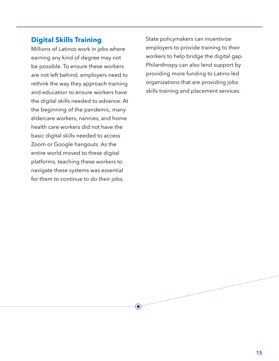#### **Digital Skills Training**

Millions of Latinos work in jobs where earning any kind of degree may not be possible. To ensure these workers are not left behind, employers need to rethink the way they approach training and education to ensure workers have the digital skills needed to advance. At the beginning of the pandemic, many eldercare workers, nannies, and home health care workers did not have the basic digital skills needed to access Zoom or Google hangouts. As the entire world moved to these digital platforms, teaching these workers to navigate these systems was essential for them to continue to do their jobs.

 $(\bullet)$ 

State policymakers can incentivize employers to provide training to their workers to help bridge the digital gap. Philanthropy can also lend support by providing more funding to Latino-led organizations that are providing jobs skills training and placement services.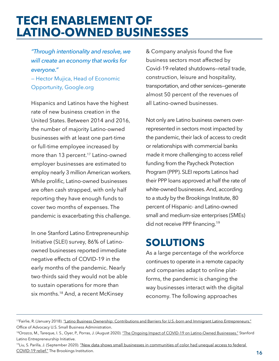## <span id="page-19-0"></span>**TECH ENABLEMENT OF LATINO-OWNED BUSINESSES**

*"Through intentionality and resolve, we will create an economy that works for everyone."* 

— Hector Mujica, Head of Economic Opportunity, Google.org

Hispanics and Latinos have the highest rate of new business creation in the United States. Between 2014 and 2016, the number of majority Latino-owned businesses with at least one part-time or full-time employee increased by more than 13 percent.<sup>17</sup> Latino-owned employer businesses are estimated to employ nearly 3 million American workers. While prolific, Latino-owned businesses are often cash strapped, with only half reporting they have enough funds to cover two months of expenses. The pandemic is exacerbating this challenge.

In one Stanford Latino Entrepreneurship Initiative (SLEI) survey, 86% of Latinoowned businesses reported immediate negative effects of COVID-19 in the early months of the pandemic. Nearly two-thirds said they would not be able to sustain operations for more than six months.18 And, a recent McKinsey

& Company analysis found the five business sectors most affected by Covid-19-related shutdowns—retail trade, construction, leisure and hospitality, transportation, and other services—generate almost 50 percent of the revenues of all Latino-owned businesses.

Not only are Latino business owners overrepresented in sectors most impacted by the pandemic, their lack of access to credit or relationships with commercial banks made it more challenging to access relief funding from the Paycheck Protection Program (PPP). SLEI reports Latinos had their PPP loans approved at half the rate of white-owned businesses. And, according to a study by the Brookings Institute, 80 percent of Hispanic- and Latino-owned small and medium-size enterprises (SMEs) did not receive PPP financing.<sup>19</sup>

## **SOLUTIONS**

As a large percentage of the workforce continues to operate in a remote capacity and companies adapt to online platforms, the pandemic is changing the way businesses interact with the digital economy. The following approaches

<sup>19</sup>Liu, S. Parilla, J. (September 2020). "New data shows small businesses in communities of color had unequal access to federal [COVID-19 relief."](https://www.brookings.edu/research/new-data-shows-small-businesses-in-communities-of-color-had-unequal-access-to-federal-covid-19-relief/) The Brookings Institution.

<sup>17</sup>Fairlie, R. (January 2018). ["Latino Business Ownership: Contributions and Barriers for U.S.-born and Immigrant Latino Entrepreneurs."](https://www.sba.gov/sites/default/files/Latino-Business-Ownership-Research-Paper_.pdf) Office of Advocacy U.S. Small Business Administration.

<sup>18</sup>Orozco, M., Tareque, I. S., Oyer, P., Porras, J. (August 2020). ["The Ongoing Impact of COVID-19 on Latino-Owned Businesses."](https://www.gsb.stanford.edu/faculty-research/publications/ongoing-impact-covid-19-latino-owned-businesses?pid=) Stanford Latino Entrepreneurship Initiative.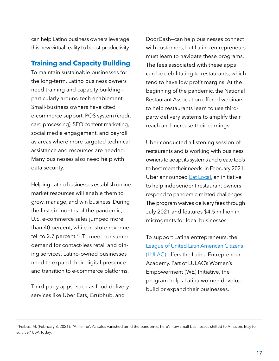can help Latino business owners leverage this new virtual reality to boost productivity.

### **Training and Capacity Building**

To maintain sustainable businesses for the long-term, Latino business owners need training and capacity building particularly around tech enablement. Small-business owners have cited e-commerce support, POS system (credit card processing), SEO content marketing, social media engagement, and payroll as areas where more targeted technical assistance and resources are needed. Many businesses also need help with data security.

Helping Latino businesses establish online market resources will enable them to grow, manage, and win business. During the first six months of the pandemic, U.S. e-commerce sales jumped more than 40 percent, while in-store revenue fell to 2.7 percent. $20$  To meet consumer demand for contact-less retail and dining services, Latino-owned businesses need to expand their digital presence and transition to e-commerce platforms.

Third-party apps—such as food delivery services like Uber Eats, Grubhub, and

DoorDash—can help businesses connect with customers, but Latino entrepreneurs must learn to navigate these programs. The fees associated with these apps can be debilitating to restaurants, which tend to have low profit margins. At the beginning of the pandemic, the National Restaurant Association offered webinars to help restaurants learn to use thirdparty delivery systems to amplify their reach and increase their earnings.

Uber conducted a listening session of restaurants and is working with business owners to adapt its systems and create tools to best meet their needs. In February 2021, Uber announced **Eat Local**, an initiative to help independent restaurant owners respond to pandemic-related challenges. The program waives delivery fees through July 2021 and features \$4.5 million in microgrants for local businesses.

To support Latina entrepreneurs, the [League of United Latin American Citizens](https://lulac.org/academy/) [\(LULAC\)](https://lulac.org/academy/) offers the Latina Entrepreneur Academy. Part of LULAC's Women's Empowerment (WE) Initiative, the program helps Latina women develop build or expand their businesses.

<sup>&</sup>lt;sup>20</sup>Feibus, M. (February 8, 2021). <u>"'A lifeline': As sales vanished amid the pandemic, here's how small businesses shifted to Amazon, Etsy to</u> [survive."](https://docs.google.com/document/d/1GoAMK4KBpv6uGPnxMwQDvhblM2hDcSSs/edit) USA Today.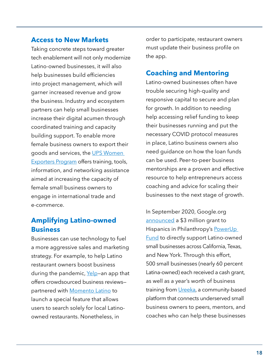#### **Access to New Markets**

Taking concrete steps toward greater tech enablement will not only modernize Latino-owned businesses, it will also help businesses build efficiencies into project management, which will garner increased revenue and grow the business. Industry and ecosystem partners can help small businesses increase their digital acumen through coordinated training and capacity building support. To enable more female business owners to export their goods and services, the [UPS Women](https://www.campusship.ups.com/us/en/services/small-business/women-exporters-program.page)  [Exporters Program](https://www.campusship.ups.com/us/en/services/small-business/women-exporters-program.page) offers training, tools, information, and networking assistance aimed at increasing the capacity of female small business owners to engage in international trade and e-commerce.

### **Amplifying Latino-owned Business**

Businesses can use technology to fuel a more aggressive sales and marketing strategy. For example, to help Latino restaurant owners boost business during the pandemic, [Yelp](https://www.thrillist.com/news/nation/yelp-latinx-label-how-to-support-latino-owned-restaurants)-an app that offers crowdsourced business reviews partnered with **[Momento Latino](https://momentolatino.us)** to launch a special feature that allows users to search solely for local Latinoowned restaurants. Nonetheless, in

order to participate, restaurant owners must update their business profile on the app.

### **Coaching and Mentoring**

Latino-owned businesses often have trouble securing high-quality and responsive capital to secure and plan for growth. In addition to needing help accessing relief funding to keep their businesses running and put the necessary COVID protocol measures in place, Latino business owners also need guidance on how the loan funds can be used. Peer-to-peer business mentorships are a proven and effective resource to help entrepreneurs access coaching and advice for scaling their businesses to the next stage of growth.

In September 2020, Google.org [announced](https://blog.google/outreach-initiatives/diversity/hispanic-heritage-month/) a \$3 million grant to Hispanics in Philanthropy's PowerUp **[Fund](https://powerupfund.org)** to directly support Latino-owned small businesses across California, Texas, and New York. Through this effort, 500 small businesses (nearly 60 percent Latina-owned) each received a cash grant, as well as a year's worth of business training from [Ureeka](https://www.ureeka.biz), a community-based platform that connects underserved small business owners to peers, mentors, and coaches who can help these businesses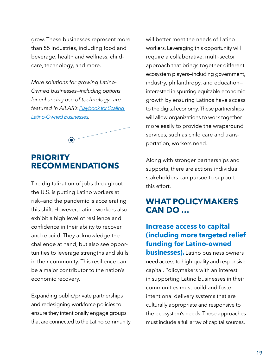<span id="page-22-0"></span>grow. These businesses represent more than 55 industries, including food and beverage, health and wellness, childcare, technology, and more.

*More solutions for growing Latino-Owned businesses—including options for enhancing use of technology—are featured in AILAS's [Playbook for Scaling](https://www.aspeninstitute.org/publications/a-playbook-for-scaling-latino-owned-businesses/)  [Latino-Owned Businesses.](https://www.aspeninstitute.org/publications/a-playbook-for-scaling-latino-owned-businesses/)*



 $\bullet$ 

The digitalization of jobs throughout the U.S. is putting Latino workers at risk—and the pandemic is accelerating this shift. However, Latino workers also exhibit a high level of resilience and confidence in their ability to recover and rebuild. They acknowledge the challenge at hand, but also see opportunities to leverage strengths and skills in their community. This resilience can be a major contributor to the nation's economic recovery.

Expanding public/private partnerships and redesigning workforce policies to ensure they intentionally engage groups that are connected to the Latino community will better meet the needs of Latino workers. Leveraging this opportunity will require a collaborative, multi-sector approach that brings together different ecosystem players—including government, industry, philanthropy, and education interested in spurring equitable economic growth by ensuring Latinos have access to the digital economy. These partnerships will allow organizations to work together more easily to provide the wraparound services, such as child care and transportation, workers need.

Along with stronger partnerships and supports, there are actions individual stakeholders can pursue to support this effort.

## **WHAT POLICYMAKERS CAN DO …**

### **Increase access to capital (including more targeted relief funding for Latino-owned**

**businesses).** Latino business owners need access to high-quality and responsive capital. Policymakers with an interest in supporting Latino businesses in their communities must build and foster intentional delivery systems that are culturally appropriate and responsive to the ecosystem's needs. These approaches must include a full array of capital sources.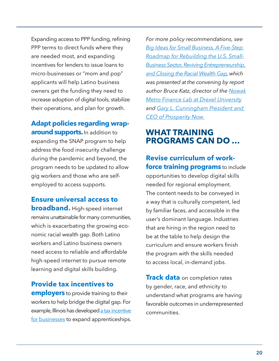Expanding access to PPP funding, refining PPP terms to direct funds where they are needed most, and expanding incentives for lenders to issue loans to micro-businesses or "mom and pop" applicants will help Latino business owners get the funding they need to increase adoption of digital tools, stabilize their operations, and plan for growth.

## **Adapt policies regarding wraparound supports.**In addition to

expanding the SNAP program to help address the food insecurity challenge during the pandemic and beyond, the program needs to be updated to allow gig workers and those who are selfemployed to access supports.

**Ensure universal access to broadband.** High-speed internet remains unattainable for many communities, which is exacerbating the growing economic racial wealth gap. Both Latino workers and Latino business owners need access to reliable and affordable high-speed internet to pursue remote learning and digital skills building.

**Provide tax incentives to employers** to provide training to their workers to help bridge the digital gap. For example, Illinois has developed [a tax incentive](https://www2.illinois.gov/dceo/ExpandRelocate/Incentives/Pages/ILApprenticeshipTaxCredit.aspx) [for businesses](https://www2.illinois.gov/dceo/ExpandRelocate/Incentives/Pages/ILApprenticeshipTaxCredit.aspx) to expand apprenticeships. *For more policy recommendations, see [Big Ideas for Small Business, A Five-Step](https://static1.squarespace.com/static/5f84af39f122fa77e8dfc596/t/5f8e1b1d3fb8f2582d40a005/1603148580430/Big-Ideas-for-Small-Business_2020-10-19.pdf) [Roadmap for Rebuilding the U.S. Small-](https://static1.squarespace.com/static/5f84af39f122fa77e8dfc596/t/5f8e1b1d3fb8f2582d40a005/1603148580430/Big-Ideas-for-Small-Business_2020-10-19.pdf)[Business Sector, Reviving Entrepreneurship,](https://static1.squarespace.com/static/5f84af39f122fa77e8dfc596/t/5f8e1b1d3fb8f2582d40a005/1603148580430/Big-Ideas-for-Small-Business_2020-10-19.pdf)  [and Closing the Racial Wealth Gap](https://static1.squarespace.com/static/5f84af39f122fa77e8dfc596/t/5f8e1b1d3fb8f2582d40a005/1603148580430/Big-Ideas-for-Small-Business_2020-10-19.pdf), which was presented at the convening by report author Bruce Katz, director of the [Nowak](https://drexel.edu/nowak-lab/)  [Metro Finance Lab at Drexel University](https://drexel.edu/nowak-lab/) and [Gary L. Cunningham President and](https://prosperitynow.org/people/gary-cunningham)  [CEO of Prosperity Now.](https://prosperitynow.org/people/gary-cunningham)*

## **WHAT TRAINING PROGRAMS CAN DO …**

## **Revise curriculum of workforce training programs** to include opportunities to develop digital skills needed for regional employment. The content needs to be conveyed in a way that is culturally competent, led by familiar faces, and accessible in the user's dominant language. Industries that are hiring in the region need to be at the table to help design the curriculum and ensure workers finish the program with the skills needed to access local, in-demand jobs.

**Track data** on completion rates by gender, race, and ethnicity to understand what programs are having favorable outcomes in underrepresented communities.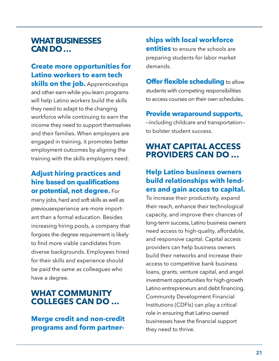## **WHAT BUSINESSES CAN DO …**

## **Create more opportunities for Latino workers to earn tech**

**skills on the job.** Apprenticeships and other earn-while-you-learn programs will help Latino workers build the skills they need to adapt to the changing workforce while continuing to earn the income they need to support themselves and their families. When employers are engaged in training, it promotes better employment outcomes by aligning the training with the skills employers need.

## **Adjust hiring practices and hire based on qualifications or potential, not degree.** For

many jobs, hard and soft skills as well as previousexperience are more important than a formal education. Besides increasing hiring pools, a company that forgoes the degree requirement is likely to find more viable candidates from diverse backgrounds. Employees hired for their skills and experience should be paid the same as colleagues who have a degree.

## **WHAT COMMUNITY COLLEGES CAN DO …**

**Merge credit and non-credit programs and form partner-** **ships with local workforce entities** to ensure the schools are preparing students for labor market demands.

**Offer flexible scheduling to allow** students with competing responsibilities to access courses on their own schedules.

**Provide wraparound supports,**

—including childcare and transportation to bolster student success.

## **WHAT CAPITAL ACCESS PROVIDERS CAN DO …**

### **Help Latino business owners build relationships with lenders and gain access to capital.**

To increase their productivity, expand their reach, enhance their technological capacity, and improve their chances of long-term success, Latino business owners need access to high-quality, affordable, and responsive capital. Capital access providers can help business owners build their networks and increase their access to competitive bank business loans, grants, venture capital, and angel investment opportunities for high-growth Latino entrepreneurs and debt financing. Community Development Financial Institutions (CDFIs) can play a critical role in ensuring that Latino-owned businesses have the financial support they need to thrive.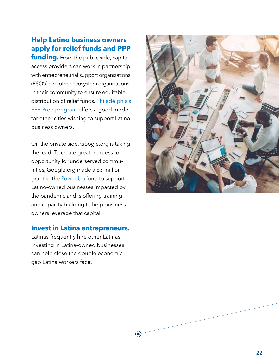## **Help Latino business owners apply for relief funds and PPP**

**funding.** From the public side, capital access providers can work in partnership with entrepreneurial support organizations (ESO's) and other ecosystem organizations in their community to ensure equitable distribution of relief funds. [Philadelphia's](https://www.phila.gov/2021-01-18-what-business-owners-need-to-know-about-the-latest-round-of-ppp/)  [PPP Prep program](https://www.phila.gov/2021-01-18-what-business-owners-need-to-know-about-the-latest-round-of-ppp/) offers a good model for other cities wishing to support Latino business owners.

On the private side, Google.org is taking the lead. To create greater access to opportunity for underserved communities, Google.org made a \$3 million grant to the **Power Up** fund to support Latino-owned businesses impacted by the pandemic and is offering training and capacity building to help business owners leverage that capital.

#### **Invest in Latina entrepreneurs.**

Latinas frequently hire other Latinas. Investing in Latina-owned businesses can help close the double economic gap Latina workers face.

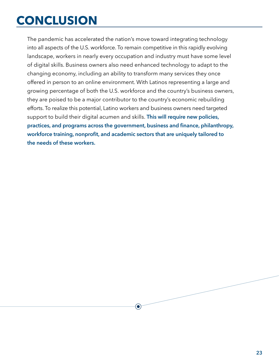# <span id="page-26-0"></span>**CONCLUSION**

The pandemic has accelerated the nation's move toward integrating technology into all aspects of the U.S. workforce. To remain competitive in this rapidly evolving landscape, workers in nearly every occupation and industry must have some level of digital skills. Business owners also need enhanced technology to adapt to the changing economy, including an ability to transform many services they once offered in person to an online environment. With Latinos representing a large and growing percentage of both the U.S. workforce and the country's business owners, they are poised to be a major contributor to the country's economic rebuilding efforts. To realize this potential, Latino workers and business owners need targeted support to build their digital acumen and skills. **This will require new policies, practices, and programs across the government, business and finance, philanthropy, workforce training, nonprofit, and academic sectors that are uniquely tailored to the needs of these workers.**

 $\left( \bullet \right)$